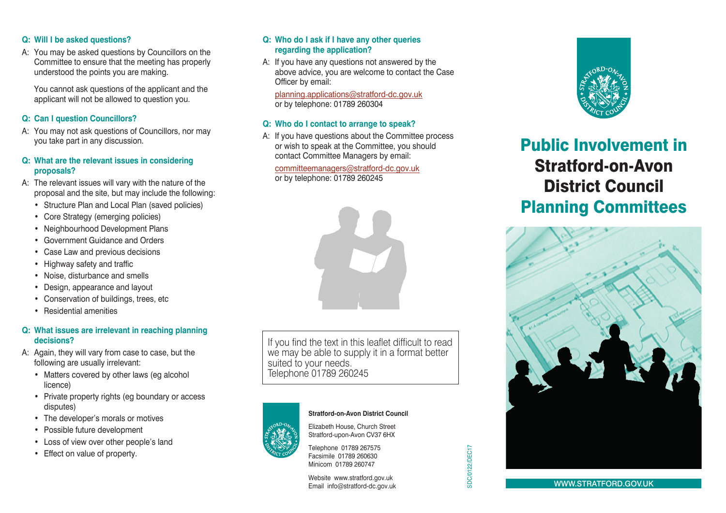# **Q: Will I be asked questions?**

A: You may be asked questions by Councillors on the Committee to ensure that the meeting has properly understood the points you are making.

You cannot ask questions of the applicant and the applicant will not be allowed to question you.

## **Q: Can I question Councillors?**

A: You may not ask questions of Councillors, nor may you take part in any discussion.

#### **Q: What are the relevant issues in considering proposals?**

- A: The relevant issues will vary with the nature of the proposal and the site, but may include the following:
	- Structure Plan and Local Plan (saved policies)
	- Core Strategy (emerging policies)
	- Neighbourhood Development Plans
	- Government Guidance and Orders
	- Case Law and previous decisions
	- Highway safety and traffic
	- Noise, disturbance and smells
	- Design, appearance and layout
	- Conservation of buildings, trees, etc
	- Residential amenities

# **Q: What issues are irrelevant in reaching planning decisions?**

- A: Again, they will vary from case to case, but the following are usually irrelevant:
	- Matters covered by other laws (eg alcohol licence)
	- Private property rights (eg boundary or access disputes)
	- The developer's morals or motives
	- Possible future development
	- Loss of view over other people's land
	- Effect on value of property.

# **Q: Who do I ask if I have any other queries regarding the application?**

A: If you have any questions not answered by the above advice, you are welcome to contact the Case Officer by email:

planning.applications@stratford-dc.gov.uk or by telephone: 01789 260304

# **Q: Who do I contact to arrange to speak?**

A: If you have questions about the Committee process or wish to speak at the Committee, you should contact Committee Managers by email:

committeemanagers@stratford-dc.gov.uk

or by telephone: 01789 260245



If you find the text in this leaflet difficult to read we may be able to supply it in a format better suited to your needs. Telephone 01789 260245



#### **Stratford-on-Avon District Council**

SDC/0122/DEC17

**SDC/0122/DEC17** 

Elizabeth House, Church Street Stratford-upon-Avon CV37 6HX



Website www.stratford.gov.uk Email info@stratford-dc.gov.uk



# Public Involvement in Stratford-on-Avon District Council Planning Committees